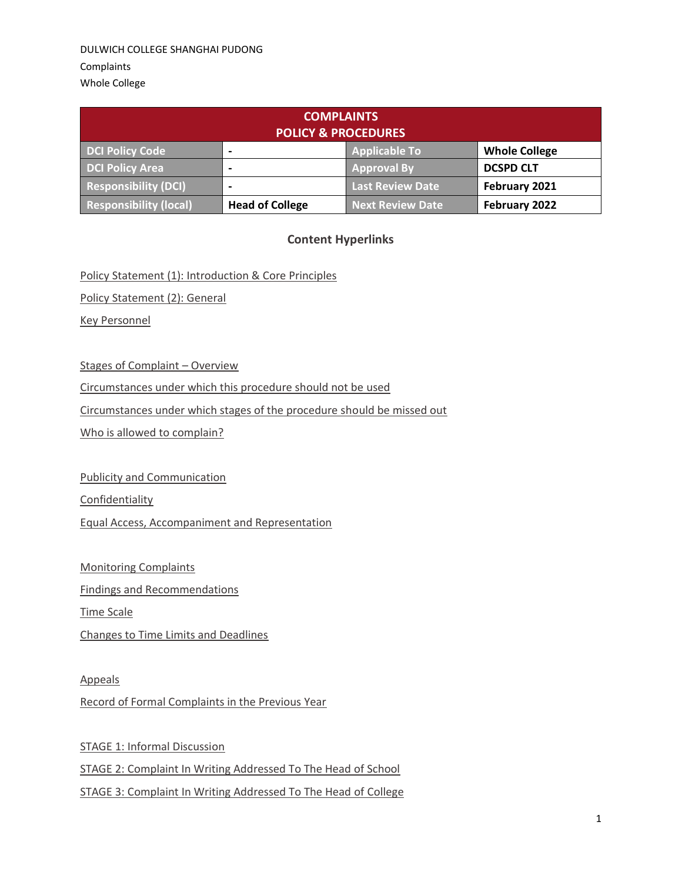| <b>COMPLAINTS</b><br><b>POLICY &amp; PROCEDURES</b> |                        |                         |                      |
|-----------------------------------------------------|------------------------|-------------------------|----------------------|
| <b>DCI Policy Code</b>                              |                        | <b>Applicable To</b>    | <b>Whole College</b> |
| <b>DCI Policy Area</b>                              | -                      | <b>Approval By</b>      | <b>DCSPD CLT</b>     |
| <b>Responsibility (DCI)</b>                         |                        | <b>Last Review Date</b> | February 2021        |
| <b>Responsibility (local)</b>                       | <b>Head of College</b> | <b>Next Review Date</b> | February 2022        |

# **Content Hyperlinks**

Policy Statement (1): Introduction & Core Principles

Policy Statement (2): General

[Key Personnel](#page-2-0)

[Stages of Complaint](#page-3-0) – Overview

[Circumstances under which this procedure should not be used](#page-3-1)

[Circumstances under which stages of the procedure should be missed out](#page-3-2)

[Who is allowed to complain?](#page-4-0)

[Publicity and Communication](#page-4-1)

[Confidentiality](#page-4-2)

[Equal Access, Accompaniment and Representation](#page-4-3)

[Monitoring Complaints](#page-5-0)

[Findings and Recommendations](#page-5-1)

[Time Scale](#page-5-2)

[Changes to Time Limits and Deadlines](#page-6-0)

[Appeals](#page-6-1)

Record of Formal Complaints in the Previous Year

[STAGE 1: Informal Discussion](#page-7-0) [STAGE 2: Complaint In Writing Addressed To The Head of School](#page-7-1) STAGE 3: Complaint In [Writing Addressed To The Head of College](#page-9-0)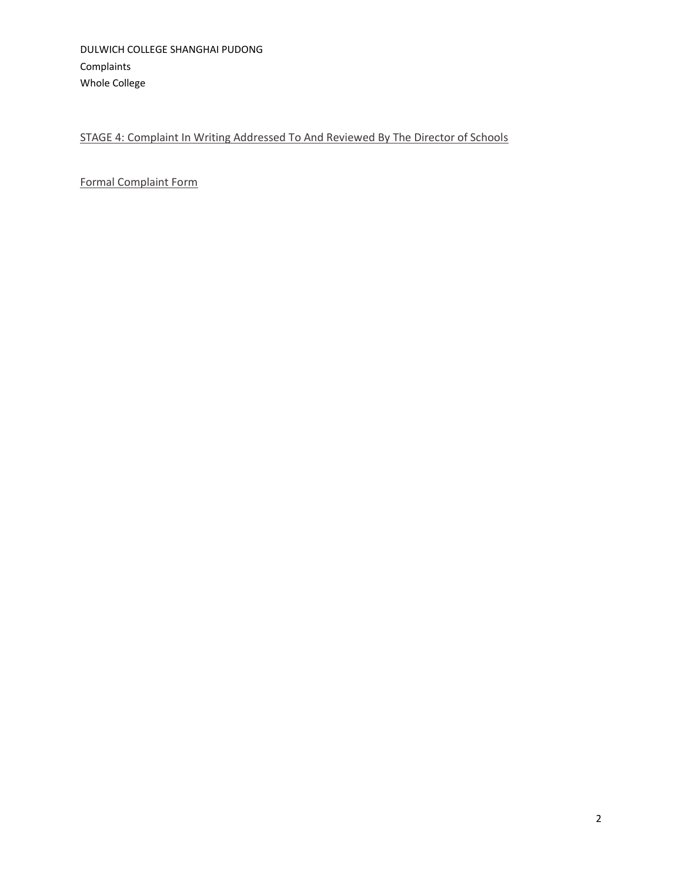# [STAGE 4: Complaint In Writing Addressed To And Reviewed By The Director of Schools](#page-11-0)

[Formal Complaint Form](#page-13-0)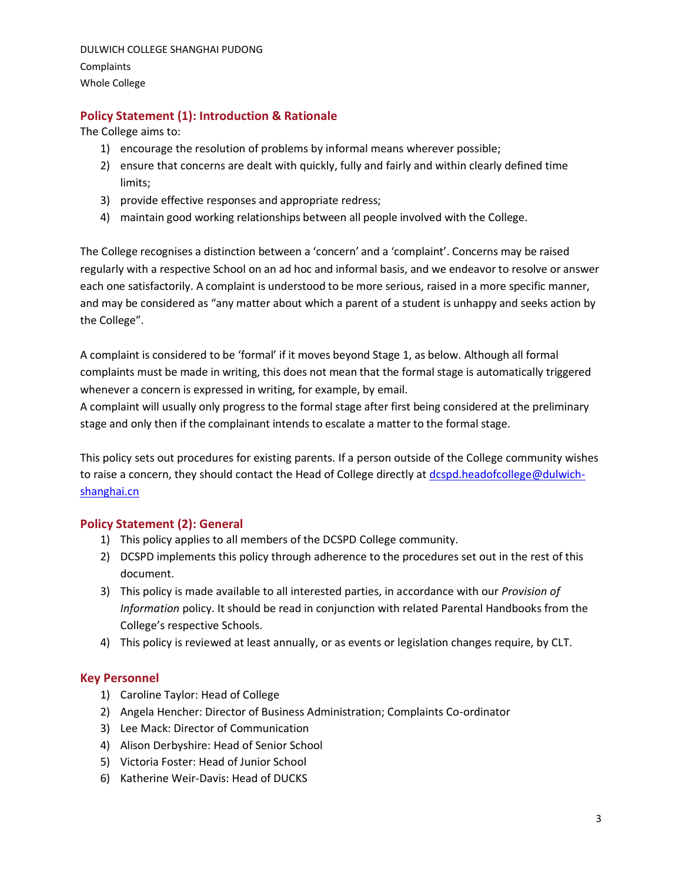# **Policy Statement (1): Introduction & Rationale**

The College aims to:

- 1) encourage the resolution of problems by informal means wherever possible;
- 2) ensure that concerns are dealt with quickly, fully and fairly and within clearly defined time limits;
- 3) provide effective responses and appropriate redress;
- 4) maintain good working relationships between all people involved with the College.

The College recognises a distinction between a 'concern' and a 'complaint'. Concerns may be raised regularly with a respective School on an ad hoc and informal basis, and we endeavor to resolve or answer each one satisfactorily. A complaint is understood to be more serious, raised in a more specific manner, and may be considered as "any matter about which a parent of a student is unhappy and seeks action by the College".

A complaint is considered to be 'formal' if it moves beyond Stage 1, as below. Although all formal complaints must be made in writing, this does not mean that the formal stage is automatically triggered whenever a concern is expressed in writing, for example, by email.

A complaint will usually only progress to the formal stage after first being considered at the preliminary stage and only then if the complainant intends to escalate a matter to the formal stage.

This policy sets out procedures for existing parents. If a person outside of the College community wishes to raise a concern, they should contact the Head of College directly at [dcspd.headofcollege@dulwich](mailto:dcspd.headofcollege@dulwich-shanghai.cn)[shanghai.cn](mailto:dcspd.headofcollege@dulwich-shanghai.cn)

### **Policy Statement (2): General**

- 1) This policy applies to all members of the DCSPD College community.
- 2) DCSPD implements this policy through adherence to the procedures set out in the rest of this document.
- 3) This policy is made available to all interested parties, in accordance with our *Provision of Information* policy. It should be read in conjunction with related Parental Handbooks from the College's respective Schools.
- 4) This policy is reviewed at least annually, or as events or legislation changes require, by CLT.

#### <span id="page-2-0"></span>**Key Personnel**

- 1) Caroline Taylor: Head of College
- 2) Angela Hencher: Director of Business Administration; Complaints Co-ordinator
- 3) Lee Mack: Director of Communication
- 4) Alison Derbyshire: Head of Senior School
- 5) Victoria Foster: Head of Junior School
- 6) Katherine Weir-Davis: Head of DUCKS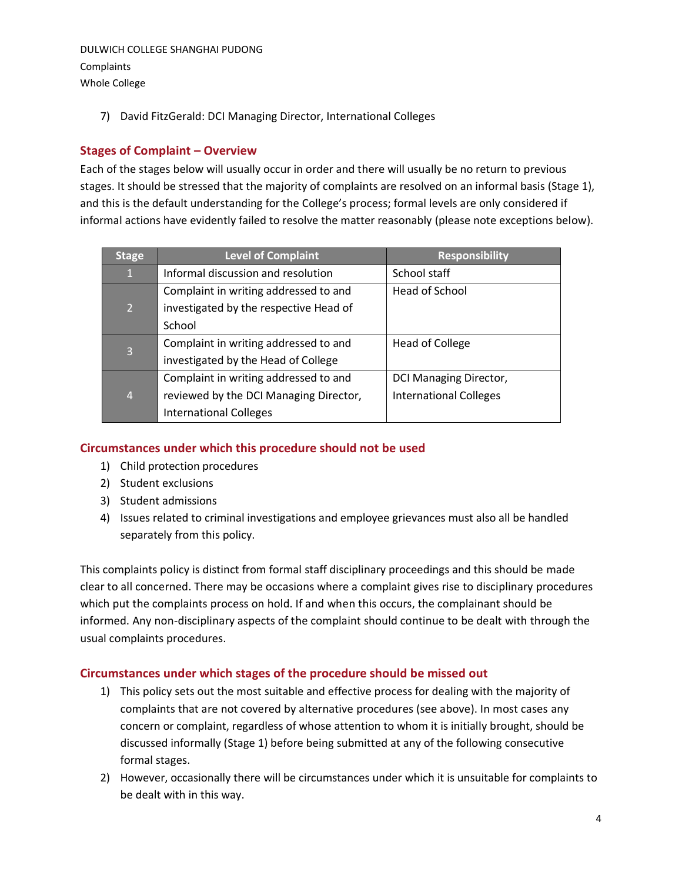### DULWICH COLLEGE SHANGHAI PUDONG **Complaints**

Whole College

7) David FitzGerald: DCI Managing Director, International Colleges

# <span id="page-3-0"></span>**Stages of Complaint – Overview**

Each of the stages below will usually occur in order and there will usually be no return to previous stages. It should be stressed that the majority of complaints are resolved on an informal basis (Stage 1), and this is the default understanding for the College's process; formal levels are only considered if informal actions have evidently failed to resolve the matter reasonably (please note exceptions below).

| <b>Stage</b>   | <b>Level of Complaint</b>              | <b>Responsibility</b>         |
|----------------|----------------------------------------|-------------------------------|
| $\mathbf{1}$   | Informal discussion and resolution     | School staff                  |
|                | Complaint in writing addressed to and  | Head of School                |
| $\overline{2}$ | investigated by the respective Head of |                               |
|                | School                                 |                               |
| $\overline{3}$ | Complaint in writing addressed to and  | Head of College               |
|                | investigated by the Head of College    |                               |
|                | Complaint in writing addressed to and  | DCI Managing Director,        |
| $\overline{4}$ | reviewed by the DCI Managing Director, | <b>International Colleges</b> |
|                | <b>International Colleges</b>          |                               |

# <span id="page-3-1"></span>**Circumstances under which this procedure should not be used**

- 1) Child protection procedures
- 2) Student exclusions
- 3) Student admissions
- 4) Issues related to criminal investigations and employee grievances must also all be handled separately from this policy.

This complaints policy is distinct from formal staff disciplinary proceedings and this should be made clear to all concerned. There may be occasions where a complaint gives rise to disciplinary procedures which put the complaints process on hold. If and when this occurs, the complainant should be informed. Any non-disciplinary aspects of the complaint should continue to be dealt with through the usual complaints procedures.

# <span id="page-3-2"></span>**Circumstances under which stages of the procedure should be missed out**

- 1) This policy sets out the most suitable and effective process for dealing with the majority of complaints that are not covered by alternative procedures (see above). In most cases any concern or complaint, regardless of whose attention to whom it is initially brought, should be discussed informally (Stage 1) before being submitted at any of the following consecutive formal stages.
- 2) However, occasionally there will be circumstances under which it is unsuitable for complaints to be dealt with in this way.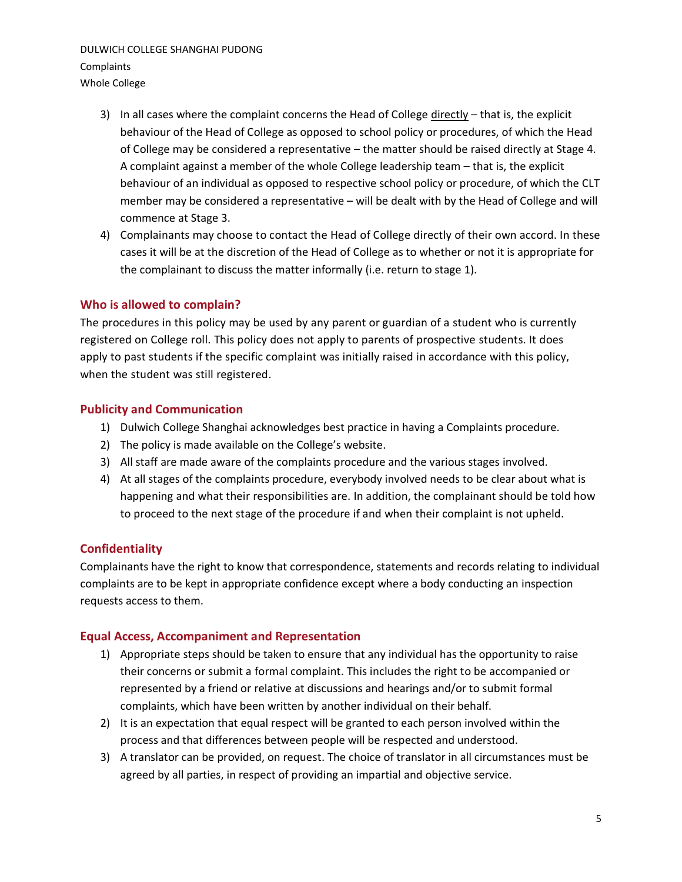- 3) In all cases where the complaint concerns the Head of College  $\frac{directly that}{is}$ , the explicit behaviour of the Head of College as opposed to school policy or procedures, of which the Head of College may be considered a representative – the matter should be raised directly at Stage 4. A complaint against a member of the whole College leadership team – that is, the explicit behaviour of an individual as opposed to respective school policy or procedure, of which the CLT member may be considered a representative – will be dealt with by the Head of College and will commence at Stage 3.
- 4) Complainants may choose to contact the Head of College directly of their own accord. In these cases it will be at the discretion of the Head of College as to whether or not it is appropriate for the complainant to discuss the matter informally (i.e. return to stage 1).

### <span id="page-4-0"></span>**Who is allowed to complain?**

The procedures in this policy may be used by any parent or guardian of a student who is currently registered on College roll. This policy does not apply to parents of prospective students. It does apply to past students if the specific complaint was initially raised in accordance with this policy, when the student was still registered.

### <span id="page-4-1"></span>**Publicity and Communication**

- 1) Dulwich College Shanghai acknowledges best practice in having a Complaints procedure.
- 2) The policy is made available on the College's website.
- 3) All staff are made aware of the complaints procedure and the various stages involved.
- 4) At all stages of the complaints procedure, everybody involved needs to be clear about what is happening and what their responsibilities are. In addition, the complainant should be told how to proceed to the next stage of the procedure if and when their complaint is not upheld.

### <span id="page-4-2"></span>**Confidentiality**

Complainants have the right to know that correspondence, statements and records relating to individual complaints are to be kept in appropriate confidence except where a body conducting an inspection requests access to them.

### <span id="page-4-3"></span>**Equal Access, Accompaniment and Representation**

- 1) Appropriate steps should be taken to ensure that any individual has the opportunity to raise their concerns or submit a formal complaint. This includes the right to be accompanied or represented by a friend or relative at discussions and hearings and/or to submit formal complaints, which have been written by another individual on their behalf.
- 2) It is an expectation that equal respect will be granted to each person involved within the process and that differences between people will be respected and understood.
- 3) A translator can be provided, on request. The choice of translator in all circumstances must be agreed by all parties, in respect of providing an impartial and objective service.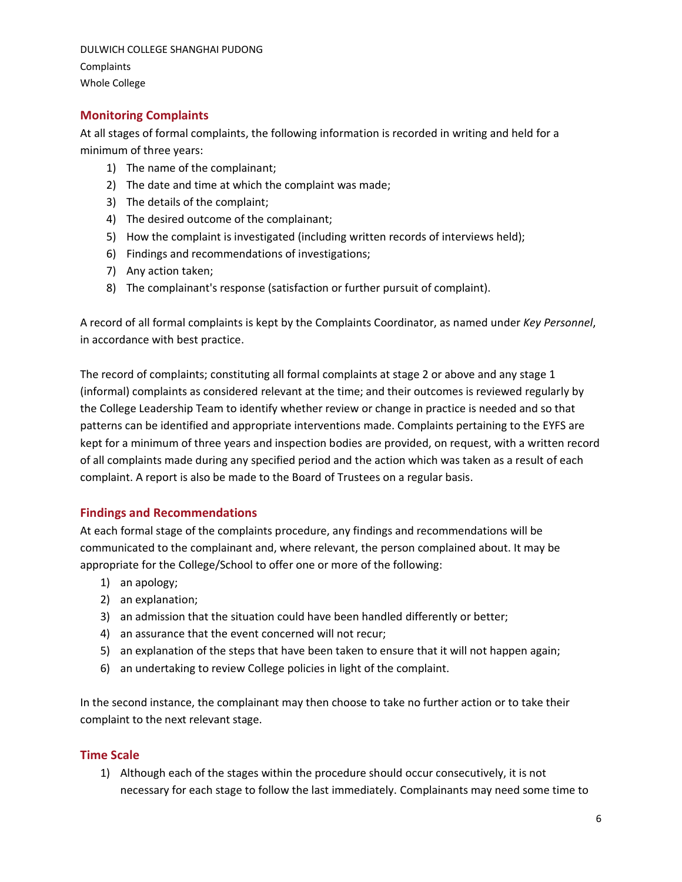# <span id="page-5-0"></span>**Monitoring Complaints**

At all stages of formal complaints, the following information is recorded in writing and held for a minimum of three years:

- 1) The name of the complainant;
- 2) The date and time at which the complaint was made;
- 3) The details of the complaint;
- 4) The desired outcome of the complainant;
- 5) How the complaint is investigated (including written records of interviews held);
- 6) Findings and recommendations of investigations;
- 7) Any action taken;
- 8) The complainant's response (satisfaction or further pursuit of complaint).

A record of all formal complaints is kept by the Complaints Coordinator, as named under *Key Personnel*, in accordance with best practice.

The record of complaints; constituting all formal complaints at stage 2 or above and any stage 1 (informal) complaints as considered relevant at the time; and their outcomes is reviewed regularly by the College Leadership Team to identify whether review or change in practice is needed and so that patterns can be identified and appropriate interventions made. Complaints pertaining to the EYFS are kept for a minimum of three years and inspection bodies are provided, on request, with a written record of all complaints made during any specified period and the action which was taken as a result of each complaint. A report is also be made to the Board of Trustees on a regular basis.

### <span id="page-5-1"></span>**Findings and Recommendations**

At each formal stage of the complaints procedure, any findings and recommendations will be communicated to the complainant and, where relevant, the person complained about. It may be appropriate for the College/School to offer one or more of the following:

- 1) an apology;
- 2) an explanation;
- 3) an admission that the situation could have been handled differently or better;
- 4) an assurance that the event concerned will not recur;
- 5) an explanation of the steps that have been taken to ensure that it will not happen again;
- 6) an undertaking to review College policies in light of the complaint.

In the second instance, the complainant may then choose to take no further action or to take their complaint to the next relevant stage.

### <span id="page-5-2"></span>**Time Scale**

1) Although each of the stages within the procedure should occur consecutively, it is not necessary for each stage to follow the last immediately. Complainants may need some time to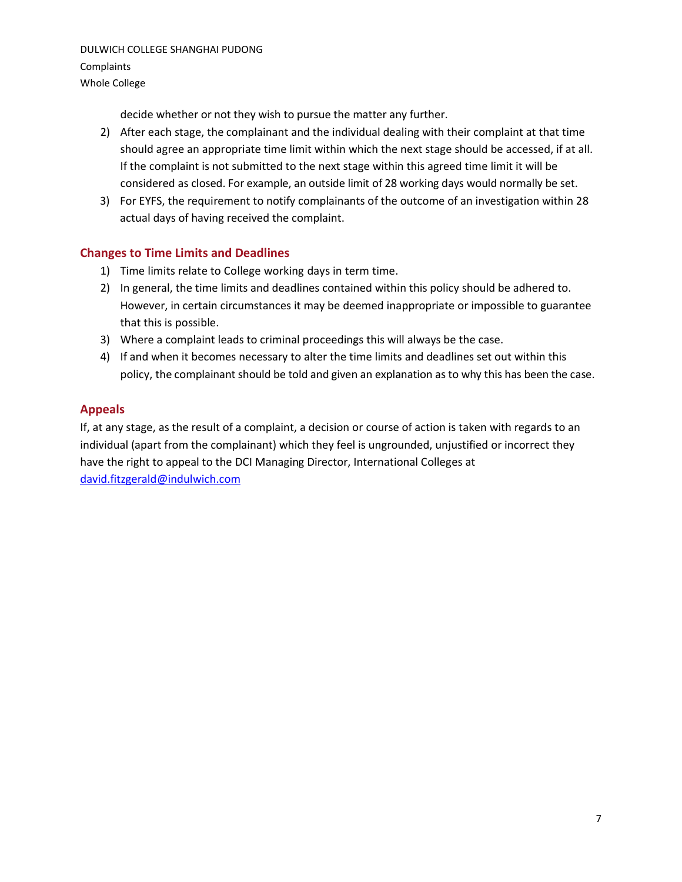decide whether or not they wish to pursue the matter any further.

- 2) After each stage, the complainant and the individual dealing with their complaint at that time should agree an appropriate time limit within which the next stage should be accessed, if at all. If the complaint is not submitted to the next stage within this agreed time limit it will be considered as closed. For example, an outside limit of 28 working days would normally be set.
- 3) For EYFS, the requirement to notify complainants of the outcome of an investigation within 28 actual days of having received the complaint.

# <span id="page-6-0"></span>**Changes to Time Limits and Deadlines**

- 1) Time limits relate to College working days in term time.
- 2) In general, the time limits and deadlines contained within this policy should be adhered to. However, in certain circumstances it may be deemed inappropriate or impossible to guarantee that this is possible.
- 3) Where a complaint leads to criminal proceedings this will always be the case.
- 4) If and when it becomes necessary to alter the time limits and deadlines set out within this policy, the complainant should be told and given an explanation as to why this has been the case.

### <span id="page-6-1"></span>**Appeals**

If, at any stage, as the result of a complaint, a decision or course of action is taken with regards to an individual (apart from the complainant) which they feel is ungrounded, unjustified or incorrect they have the right to appeal to the DCI Managing Director, International Colleges at [david.fitzgerald@indulwich.com](mailto:david.fitzgerald@indulwich.com)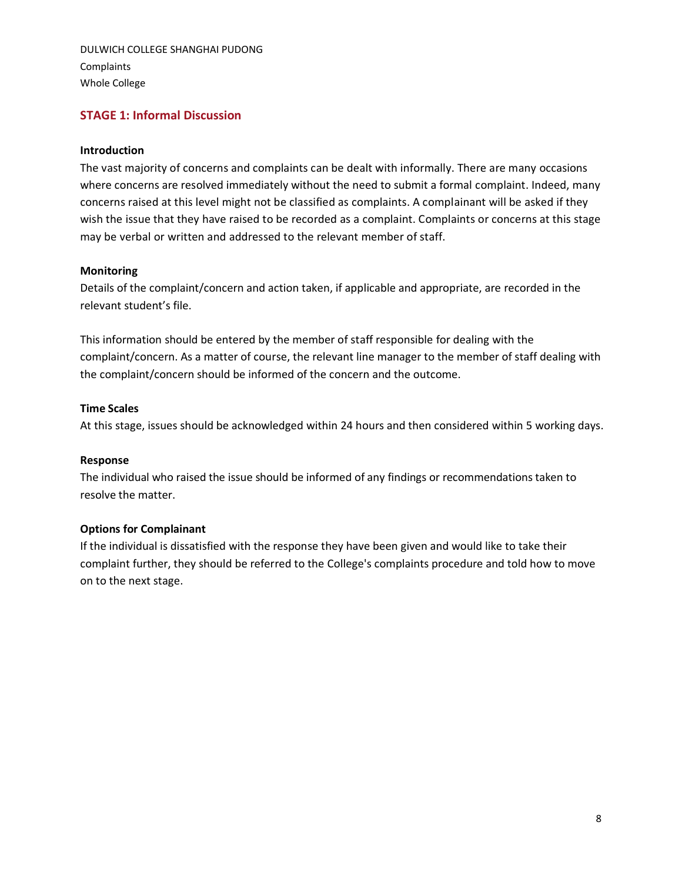### <span id="page-7-0"></span>**STAGE 1: Informal Discussion**

#### **Introduction**

The vast majority of concerns and complaints can be dealt with informally. There are many occasions where concerns are resolved immediately without the need to submit a formal complaint. Indeed, many concerns raised at this level might not be classified as complaints. A complainant will be asked if they wish the issue that they have raised to be recorded as a complaint. Complaints or concerns at this stage may be verbal or written and addressed to the relevant member of staff.

#### **Monitoring**

Details of the complaint/concern and action taken, if applicable and appropriate, are recorded in the relevant student's file.

This information should be entered by the member of staff responsible for dealing with the complaint/concern. As a matter of course, the relevant line manager to the member of staff dealing with the complaint/concern should be informed of the concern and the outcome.

#### **Time Scales**

At this stage, issues should be acknowledged within 24 hours and then considered within 5 working days.

#### **Response**

The individual who raised the issue should be informed of any findings or recommendations taken to resolve the matter.

#### **Options for Complainant**

<span id="page-7-1"></span>If the individual is dissatisfied with the response they have been given and would like to take their complaint further, they should be referred to the College's complaints procedure and told how to move on to the next stage.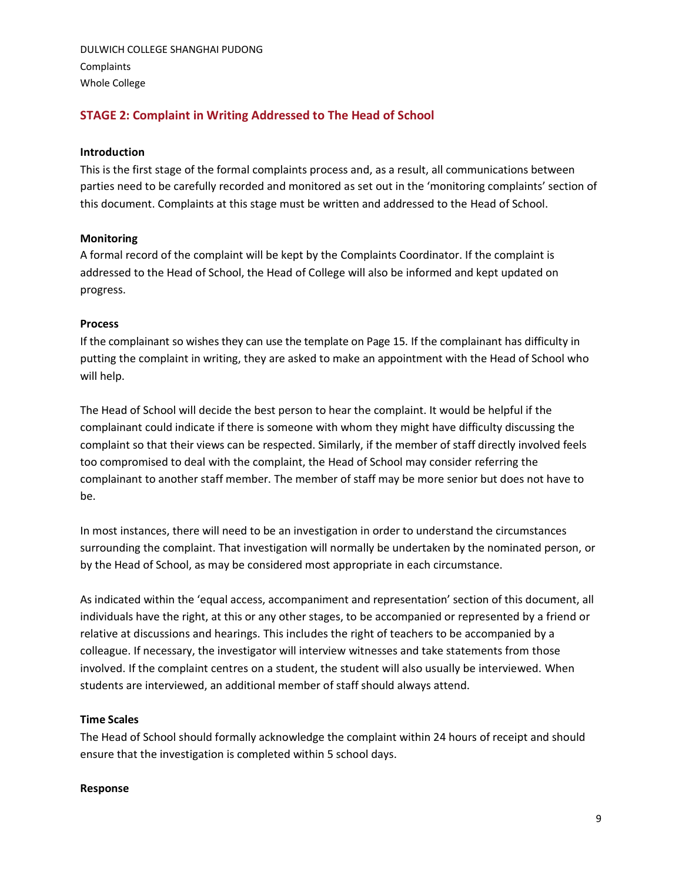# **STAGE 2: Complaint in Writing Addressed to The Head of School**

#### **Introduction**

This is the first stage of the formal complaints process and, as a result, all communications between parties need to be carefully recorded and monitored as set out in the 'monitoring complaints' section of this document. Complaints at this stage must be written and addressed to the Head of School.

#### **Monitoring**

A formal record of the complaint will be kept by the Complaints Coordinator. If the complaint is addressed to the Head of School, the Head of College will also be informed and kept updated on progress.

#### **Process**

If the complainant so wishes they can use the template on Page 15. If the complainant has difficulty in putting the complaint in writing, they are asked to make an appointment with the Head of School who will help.

The Head of School will decide the best person to hear the complaint. It would be helpful if the complainant could indicate if there is someone with whom they might have difficulty discussing the complaint so that their views can be respected. Similarly, if the member of staff directly involved feels too compromised to deal with the complaint, the Head of School may consider referring the complainant to another staff member. The member of staff may be more senior but does not have to be.

In most instances, there will need to be an investigation in order to understand the circumstances surrounding the complaint. That investigation will normally be undertaken by the nominated person, or by the Head of School, as may be considered most appropriate in each circumstance.

As indicated within the 'equal access, accompaniment and representation' section of this document, all individuals have the right, at this or any other stages, to be accompanied or represented by a friend or relative at discussions and hearings. This includes the right of teachers to be accompanied by a colleague. If necessary, the investigator will interview witnesses and take statements from those involved. If the complaint centres on a student, the student will also usually be interviewed. When students are interviewed, an additional member of staff should always attend.

#### **Time Scales**

The Head of School should formally acknowledge the complaint within 24 hours of receipt and should ensure that the investigation is completed within 5 school days.

#### **Response**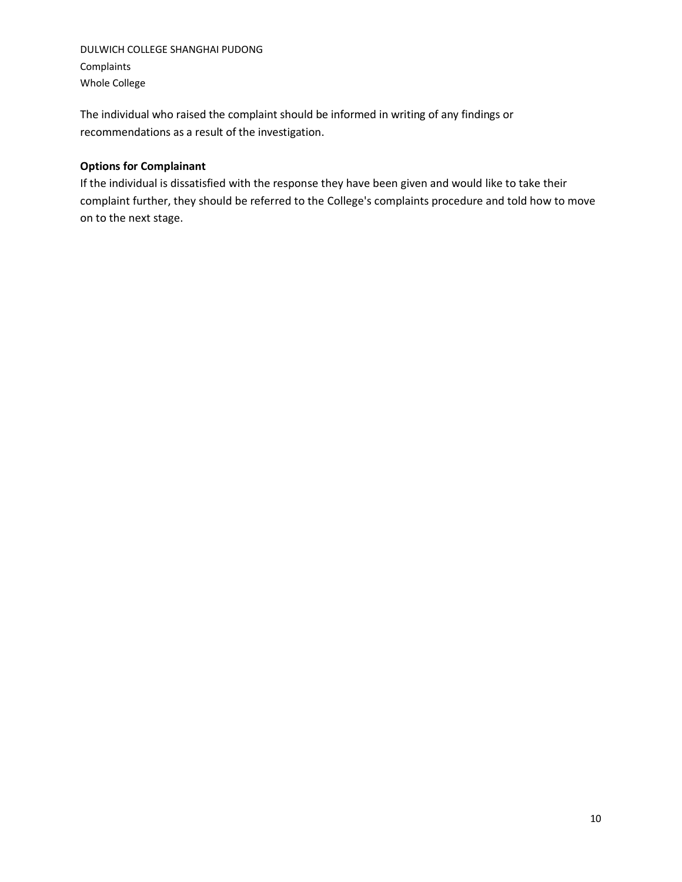The individual who raised the complaint should be informed in writing of any findings or recommendations as a result of the investigation.

### **Options for Complainant**

<span id="page-9-0"></span>If the individual is dissatisfied with the response they have been given and would like to take their complaint further, they should be referred to the College's complaints procedure and told how to move on to the next stage.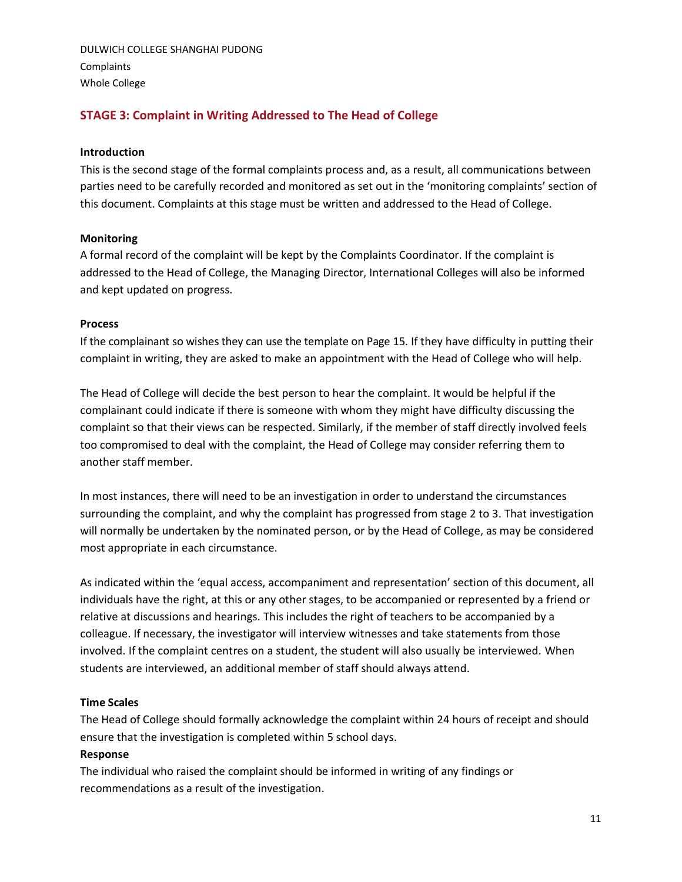# **STAGE 3: Complaint in Writing Addressed to The Head of College**

#### **Introduction**

This is the second stage of the formal complaints process and, as a result, all communications between parties need to be carefully recorded and monitored as set out in the 'monitoring complaints' section of this document. Complaints at this stage must be written and addressed to the Head of College.

#### **Monitoring**

A formal record of the complaint will be kept by the Complaints Coordinator. If the complaint is addressed to the Head of College, the Managing Director, International Colleges will also be informed and kept updated on progress.

#### **Process**

If the complainant so wishes they can use the template on Page 15. If they have difficulty in putting their complaint in writing, they are asked to make an appointment with the Head of College who will help.

The Head of College will decide the best person to hear the complaint. It would be helpful if the complainant could indicate if there is someone with whom they might have difficulty discussing the complaint so that their views can be respected. Similarly, if the member of staff directly involved feels too compromised to deal with the complaint, the Head of College may consider referring them to another staff member.

In most instances, there will need to be an investigation in order to understand the circumstances surrounding the complaint, and why the complaint has progressed from stage 2 to 3. That investigation will normally be undertaken by the nominated person, or by the Head of College, as may be considered most appropriate in each circumstance.

As indicated within the 'equal access, accompaniment and representation' section of this document, all individuals have the right, at this or any other stages, to be accompanied or represented by a friend or relative at discussions and hearings. This includes the right of teachers to be accompanied by a colleague. If necessary, the investigator will interview witnesses and take statements from those involved. If the complaint centres on a student, the student will also usually be interviewed. When students are interviewed, an additional member of staff should always attend.

#### **Time Scales**

The Head of College should formally acknowledge the complaint within 24 hours of receipt and should ensure that the investigation is completed within 5 school days.

#### **Response**

The individual who raised the complaint should be informed in writing of any findings or recommendations as a result of the investigation.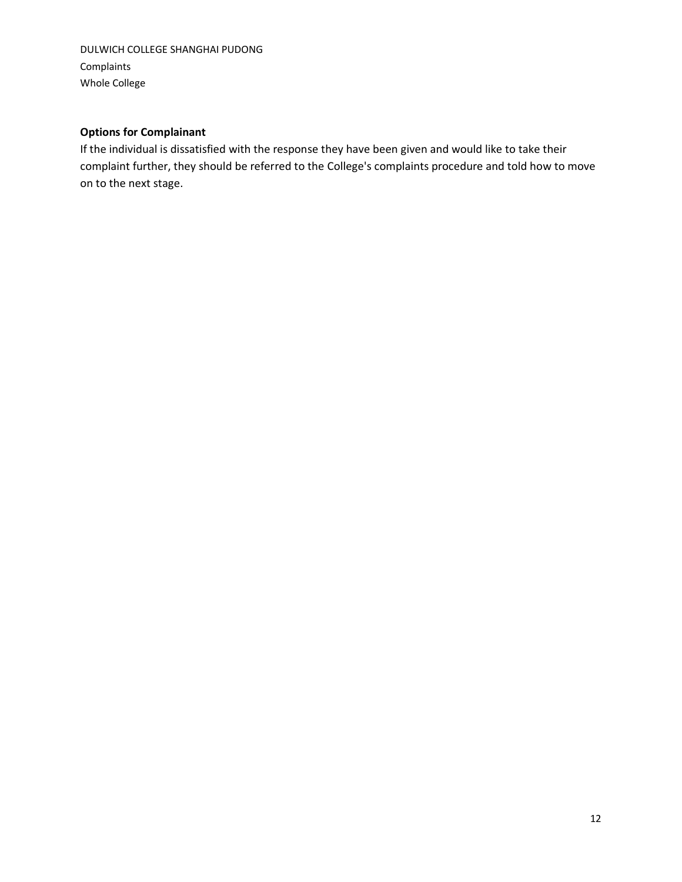# **Options for Complainant**

<span id="page-11-0"></span>If the individual is dissatisfied with the response they have been given and would like to take their complaint further, they should be referred to the College's complaints procedure and told how to move on to the next stage.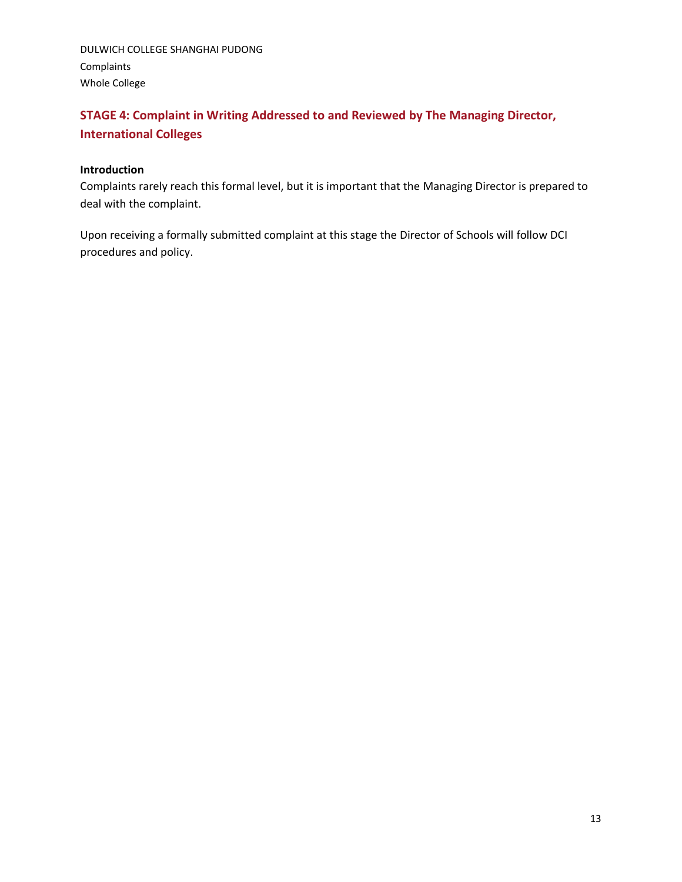# **STAGE 4: Complaint in Writing Addressed to and Reviewed by The Managing Director, International Colleges**

#### **Introduction**

Complaints rarely reach this formal level, but it is important that the Managing Director is prepared to deal with the complaint.

Upon receiving a formally submitted complaint at this stage the Director of Schools will follow DCI procedures and policy.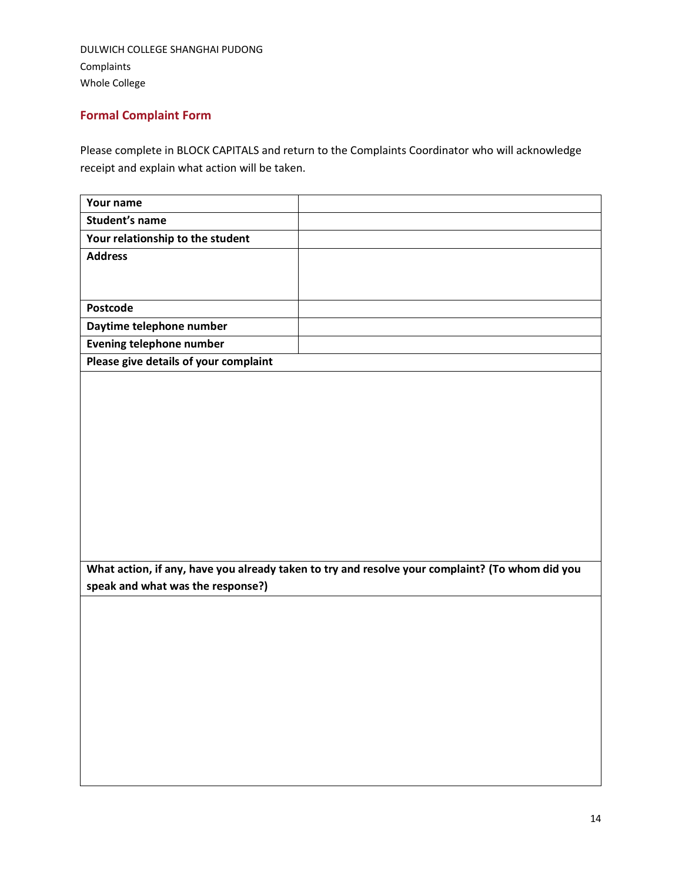# <span id="page-13-0"></span>**Formal Complaint Form**

Please complete in BLOCK CAPITALS and return to the Complaints Coordinator who will acknowledge receipt and explain what action will be taken.

| Your name                             |                                                                                                 |
|---------------------------------------|-------------------------------------------------------------------------------------------------|
| <b>Student's name</b>                 |                                                                                                 |
| Your relationship to the student      |                                                                                                 |
| <b>Address</b>                        |                                                                                                 |
|                                       |                                                                                                 |
|                                       |                                                                                                 |
| Postcode                              |                                                                                                 |
| Daytime telephone number              |                                                                                                 |
| <b>Evening telephone number</b>       |                                                                                                 |
| Please give details of your complaint |                                                                                                 |
|                                       |                                                                                                 |
|                                       |                                                                                                 |
|                                       |                                                                                                 |
|                                       |                                                                                                 |
|                                       |                                                                                                 |
|                                       |                                                                                                 |
|                                       |                                                                                                 |
|                                       |                                                                                                 |
|                                       |                                                                                                 |
|                                       |                                                                                                 |
|                                       |                                                                                                 |
|                                       |                                                                                                 |
|                                       | What action, if any, have you already taken to try and resolve your complaint? (To whom did you |
| speak and what was the response?)     |                                                                                                 |
|                                       |                                                                                                 |
|                                       |                                                                                                 |
|                                       |                                                                                                 |
|                                       |                                                                                                 |
|                                       |                                                                                                 |
|                                       |                                                                                                 |
|                                       |                                                                                                 |
|                                       |                                                                                                 |
|                                       |                                                                                                 |
|                                       |                                                                                                 |
|                                       |                                                                                                 |
|                                       |                                                                                                 |